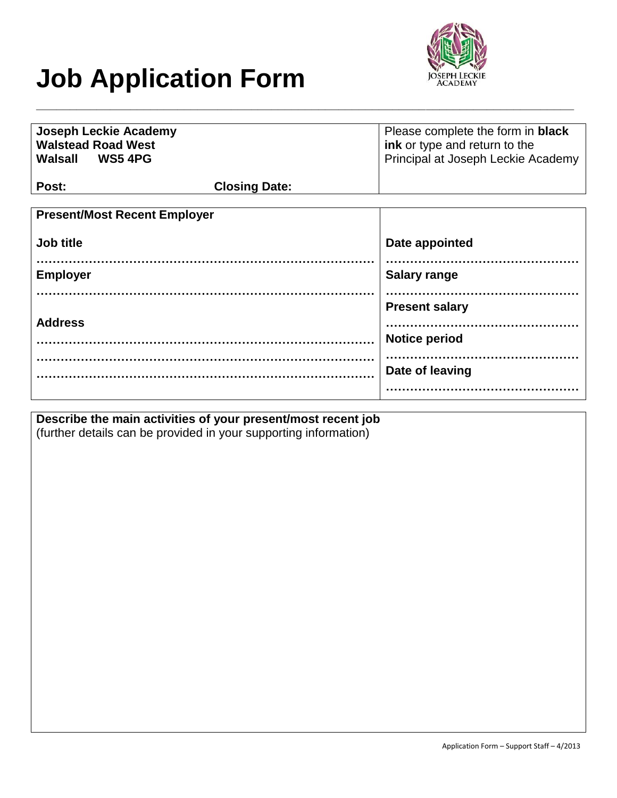# **Job Application Form**



| <b>Joseph Leckie Academy</b><br><b>Walstead Road West</b><br>Walsall WS5 4PG |                      | Please complete the form in <b>black</b><br>ink or type and return to the<br>Principal at Joseph Leckie Academy |
|------------------------------------------------------------------------------|----------------------|-----------------------------------------------------------------------------------------------------------------|
| Post:                                                                        | <b>Closing Date:</b> |                                                                                                                 |
| <b>Present/Most Recent Employer</b>                                          |                      |                                                                                                                 |
| Job title                                                                    |                      | Date appointed                                                                                                  |
| <b>Employer</b>                                                              |                      | <b>Salary range</b>                                                                                             |
| <b>Address</b>                                                               |                      | <b>Present salary</b>                                                                                           |
|                                                                              |                      | <b>Notice period</b>                                                                                            |
|                                                                              |                      | Date of leaving                                                                                                 |
|                                                                              |                      |                                                                                                                 |

**\_\_\_\_\_\_\_\_\_\_\_\_\_\_\_\_\_\_\_\_\_\_\_\_\_\_\_\_\_\_\_\_\_\_\_\_\_\_\_\_\_\_\_\_\_\_\_\_\_\_\_\_\_\_\_\_\_\_\_\_\_\_\_\_\_\_\_\_\_\_\_\_\_\_\_\_\_\_\_\_**

**Describe the main activities of your present/most recent job** (further details can be provided in your supporting information)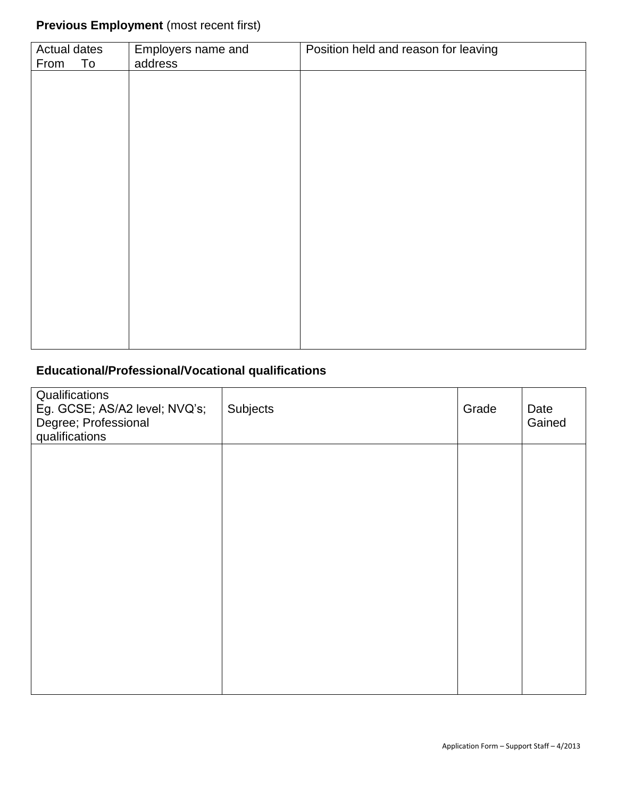# **Previous Employment** (most recent first)

| Actual dates<br>To<br>From | Employers name and<br>address | Position held and reason for leaving |
|----------------------------|-------------------------------|--------------------------------------|
|                            |                               |                                      |
|                            |                               |                                      |
|                            |                               |                                      |
|                            |                               |                                      |
|                            |                               |                                      |
|                            |                               |                                      |
|                            |                               |                                      |
|                            |                               |                                      |
|                            |                               |                                      |
|                            |                               |                                      |

## **Educational/Professional/Vocational qualifications**

| Qualifications<br>Eg. GCSE; AS/A2 level; NVQ's;<br>Degree; Professional<br>qualifications | Subjects | Grade | Date<br>Gained |
|-------------------------------------------------------------------------------------------|----------|-------|----------------|
|                                                                                           |          |       |                |
|                                                                                           |          |       |                |
|                                                                                           |          |       |                |
|                                                                                           |          |       |                |
|                                                                                           |          |       |                |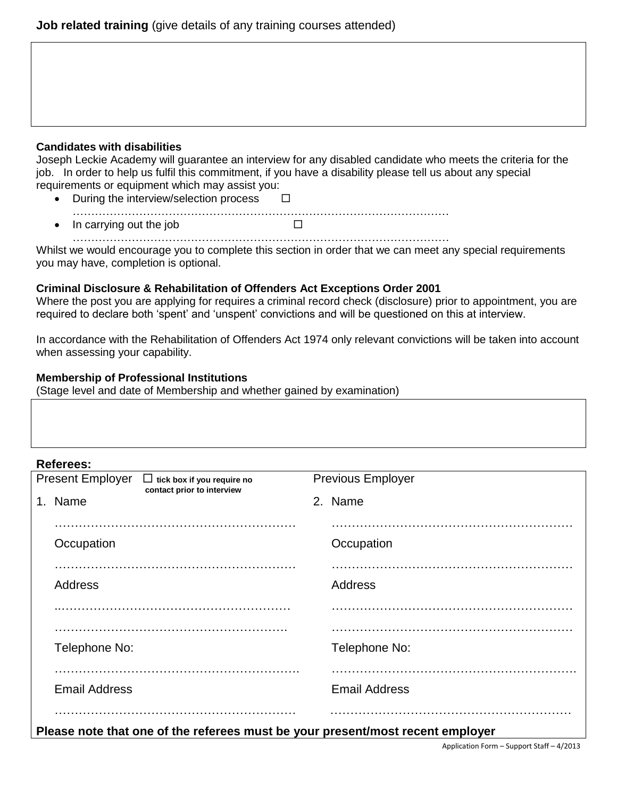#### **Candidates with disabilities**

Joseph Leckie Academy will guarantee an interview for any disabled candidate who meets the criteria for the job. In order to help us fulfil this commitment, if you have a disability please tell us about any special requirements or equipment which may assist you:

| • During the interview/selection process |  |  |
|------------------------------------------|--|--|
| • In carrying out the job                |  |  |

………………………………………………………………………………………… Whilst we would encourage you to complete this section in order that we can meet any special requirements you may have, completion is optional.

#### **Criminal Disclosure & Rehabilitation of Offenders Act Exceptions Order 2001**

Where the post you are applying for requires a criminal record check (disclosure) prior to appointment, you are required to declare both 'spent' and 'unspent' convictions and will be questioned on this at interview.

In accordance with the Rehabilitation of Offenders Act 1974 only relevant convictions will be taken into account when assessing your capability.

#### **Membership of Professional Institutions**

(Stage level and date of Membership and whether gained by examination)

#### **Referees:**

| NGIGIGGS.                                                                                  |                      |
|--------------------------------------------------------------------------------------------|----------------------|
| <b>Present Employer</b><br>$\Box$ tick box if you require no<br>contact prior to interview | Previous Employer    |
| 1. Name                                                                                    | 2. Name              |
|                                                                                            |                      |
| Occupation                                                                                 | Occupation           |
|                                                                                            |                      |
| <b>Address</b>                                                                             | Address              |
|                                                                                            |                      |
| Telephone No:                                                                              | Telephone No:        |
|                                                                                            |                      |
| <b>Email Address</b>                                                                       | <b>Email Address</b> |
| Please note that one of the referees must be your present/most recent employer             |                      |

Application Form – Support Staff – 4/2013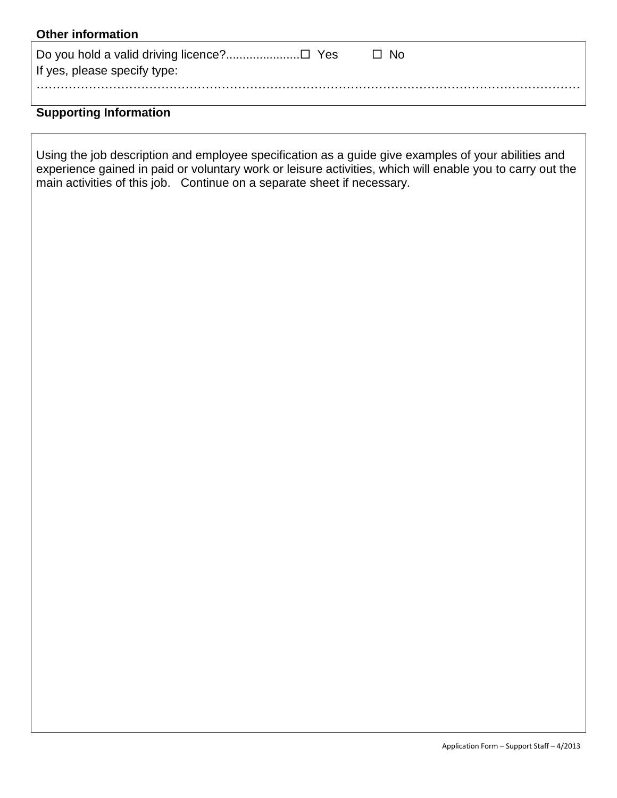| <b>Other information</b>                                                  |      |
|---------------------------------------------------------------------------|------|
| Do you hold a valid driving licence?□ Yes<br>If yes, please specify type: | □ No |
|                                                                           |      |

## **Supporting Information**

Using the job description and employee specification as a guide give examples of your abilities and experience gained in paid or voluntary work or leisure activities, which will enable you to carry out the main activities of this job. Continue on a separate sheet if necessary.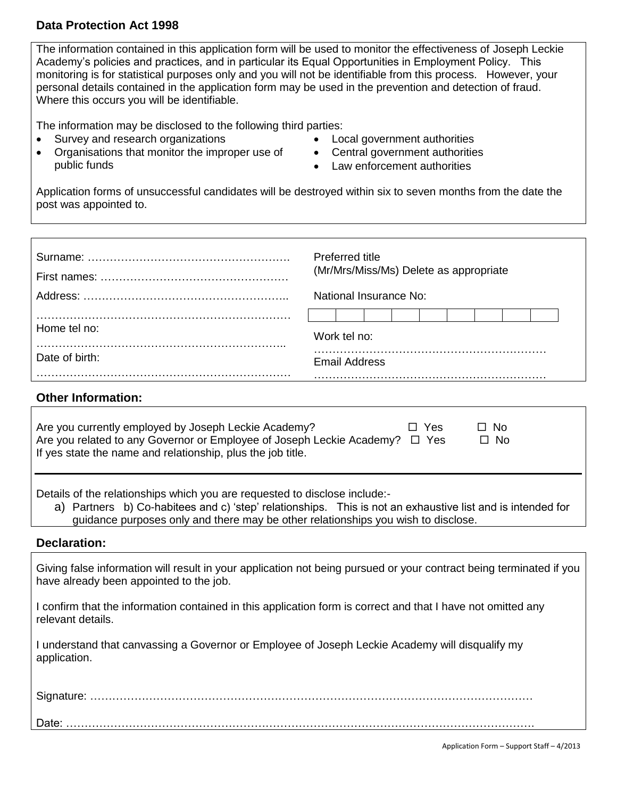#### **Data Protection Act 1998**

The information contained in this application form will be used to monitor the effectiveness of Joseph Leckie Academy's policies and practices, and in particular its Equal Opportunities in Employment Policy. This monitoring is for statistical purposes only and you will not be identifiable from this process. However, your personal details contained in the application form may be used in the prevention and detection of fraud. Where this occurs you will be identifiable.

The information may be disclosed to the following third parties:

- Survey and research organizations
- Organisations that monitor the improper use of public funds
- Local government authorities
- Central government authorities
- Law enforcement authorities

Application forms of unsuccessful candidates will be destroyed within six to seven months from the date the post was appointed to.

|                | Preferred title<br>(Mr/Mrs/Miss/Ms) Delete as appropriate |  |
|----------------|-----------------------------------------------------------|--|
|                | National Insurance No:                                    |  |
| Home tel no:   | Work tel no:                                              |  |
| Date of birth: | Email Address                                             |  |

#### **Other Information:**

| Are you currently employed by Joseph Leckie Academy?<br>$\Box$ No<br>Yes<br>r L<br>Are you related to any Governor or Employee of Joseph Leckie Academy?<br>$\Box$ Yes<br>$\Box$ No<br>If yes state the name and relationship, plus the job title.                            |
|-------------------------------------------------------------------------------------------------------------------------------------------------------------------------------------------------------------------------------------------------------------------------------|
| Details of the relationships which you are requested to disclose include:-<br>a) Partners b) Co-habitees and c) 'step' relationships. This is not an exhaustive list and is intended for<br>guidance purposes only and there may be other relationships you wish to disclose. |
| <b>Declaration:</b>                                                                                                                                                                                                                                                           |
| Giving false information will result in your application not being pursued or your contract being terminated if you<br>have already been appointed to the job.                                                                                                                |

I confirm that the information contained in this application form is correct and that I have not omitted any relevant details.

I understand that canvassing a Governor or Employee of Joseph Leckie Academy will disqualify my application.

| Date. |  |
|-------|--|